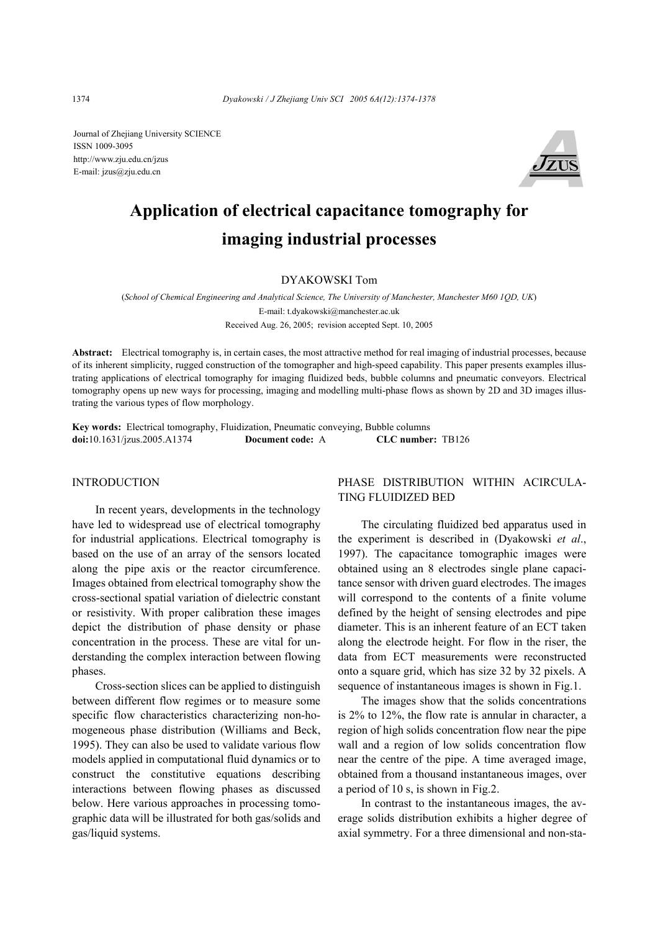Journal of Zhejiang University SCIENCE ISSN 1009-3095 http://www.zju.edu.cn/jzus E-mail: jzus@zju.edu.cn



# **Application of electrical capacitance tomography for imaging industrial processes**

## DYAKOWSKI Tom

(*School of Chemical Engineering and Analytical Science, The University of Manchester, Manchester M60 1QD, UK*) E-mail: t.dyakowski@manchester.ac.uk Received Aug. 26, 2005; revision accepted Sept. 10, 2005

**Abstract:** Electrical tomography is, in certain cases, the most attractive method for real imaging of industrial processes, because of its inherent simplicity, rugged construction of the tomographer and high-speed capability. This paper presents examples illustrating applications of electrical tomography for imaging fluidized beds, bubble columns and pneumatic conveyors. Electrical tomography opens up new ways for processing, imaging and modelling multi-phase flows as shown by 2D and 3D images illustrating the various types of flow morphology.

**Key words:** Electrical tomography, Fluidization, Pneumatic conveying, Bubble columns **doi:**10.1631/jzus.2005.A1374 **Document code:** A **CLC number:** TB126

#### INTRODUCTION

In recent years, developments in the technology have led to widespread use of electrical tomography for industrial applications. Electrical tomography is based on the use of an array of the sensors located along the pipe axis or the reactor circumference. Images obtained from electrical tomography show the cross-sectional spatial variation of dielectric constant or resistivity. With proper calibration these images depict the distribution of phase density or phase concentration in the process. These are vital for understanding the complex interaction between flowing phases.

Cross-section slices can be applied to distinguish between different flow regimes or to measure some specific flow characteristics characterizing non-homogeneous phase distribution (Williams and Beck, 1995). They can also be used to validate various flow models applied in computational fluid dynamics or to construct the constitutive equations describing interactions between flowing phases as discussed below. Here various approaches in processing tomographic data will be illustrated for both gas/solids and gas/liquid systems.

# PHASE DISTRIBUTION WITHIN ACIRCULA-TING FLUIDIZED BED

The circulating fluidized bed apparatus used in the experiment is described in (Dyakowski *et al*., 1997). The capacitance tomographic images were obtained using an 8 electrodes single plane capacitance sensor with driven guard electrodes. The images will correspond to the contents of a finite volume defined by the height of sensing electrodes and pipe diameter. This is an inherent feature of an ECT taken along the electrode height. For flow in the riser, the data from ECT measurements were reconstructed onto a square grid, which has size 32 by 32 pixels. A sequence of instantaneous images is shown in Fig.1.

The images show that the solids concentrations is 2% to 12%, the flow rate is annular in character, a region of high solids concentration flow near the pipe wall and a region of low solids concentration flow near the centre of the pipe. A time averaged image, obtained from a thousand instantaneous images, over a period of 10 s, is shown in Fig.2.

In contrast to the instantaneous images, the average solids distribution exhibits a higher degree of axial symmetry. For a three dimensional and non-sta-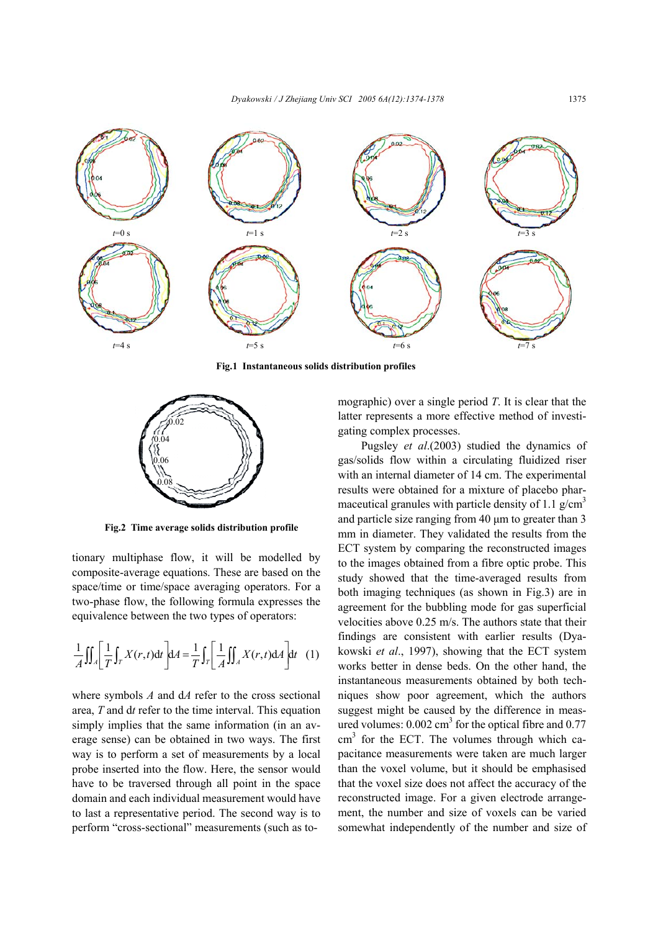

**Fig.1 Instantaneous solids distribution profiles** 



**Fig.2 Time average solids distribution profile** 

tionary multiphase flow, it will be modelled by composite-average equations. These are based on the space/time or time/space averaging operators. For a two-phase flow, the following formula expresses the equivalence between the two types of operators:

$$
\frac{1}{A} \iint_A \left[ \frac{1}{T} \int_T X(r,t) dt \right] dA = \frac{1}{T} \int_T \left[ \frac{1}{A} \iint_A X(r,t) dA \right] dt \quad (1)
$$

where symbols *A* and d*A* refer to the cross sectional area, *T* and d*t* refer to the time interval. This equation simply implies that the same information (in an average sense) can be obtained in two ways. The first way is to perform a set of measurements by a local probe inserted into the flow. Here, the sensor would have to be traversed through all point in the space domain and each individual measurement would have to last a representative period. The second way is to perform "cross-sectional" measurements (such as tomographic) over a single period *T*. It is clear that the latter represents a more effective method of investigating complex processes.

Pugsley *et al*.(2003) studied the dynamics of gas/solids flow within a circulating fluidized riser with an internal diameter of 14 cm. The experimental results were obtained for a mixture of placebo pharmaceutical granules with particle density of 1.1  $g/cm<sup>3</sup>$ and particle size ranging from 40 µm to greater than 3 mm in diameter. They validated the results from the ECT system by comparing the reconstructed images to the images obtained from a fibre optic probe. This study showed that the time-averaged results from both imaging techniques (as shown in Fig.3) are in agreement for the bubbling mode for gas superficial velocities above 0.25 m/s. The authors state that their findings are consistent with earlier results (Dyakowski *et al*., 1997), showing that the ECT system works better in dense beds. On the other hand, the instantaneous measurements obtained by both techniques show poor agreement, which the authors suggest might be caused by the difference in measured volumes:  $0.002 \text{ cm}^3$  for the optical fibre and  $0.77$  $\text{cm}^3$  for the ECT. The volumes through which capacitance measurements were taken are much larger than the voxel volume, but it should be emphasised that the voxel size does not affect the accuracy of the reconstructed image. For a given electrode arrangement, the number and size of voxels can be varied somewhat independently of the number and size of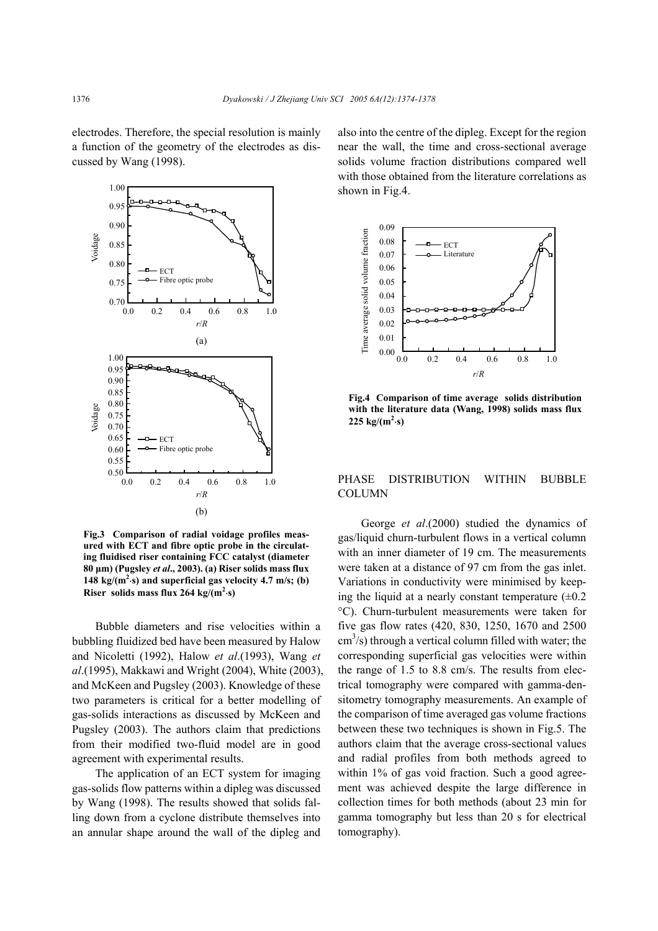electrodes. Therefore, the special resolution is mainly a function of the geometry of the electrodes as discussed by Wang (1998).



**Fig.3 Comparison of radial voidage profiles measured with ECT and fibre optic probe in the circulating fluidised riser containing FCC catalyst (diameter 80 µm) (Pugsley** *et al***., 2003). (a) Riser solids mass flux**  148  $\text{kg/(m}^2\text{-s})$  and superficial gas velocity 4.7 m/s; (b) **Riser** solids mass flux 264 kg/( $m^2$ ·s)

Bubble diameters and rise velocities within a bubbling fluidized bed have been measured by Halow and Nicoletti (1992), Halow *et al*.(1993), Wang *et al*.(1995), Makkawi and Wright (2004), White (2003), and McKeen and Pugsley (2003). Knowledge of these two parameters is critical for a better modelling of gas-solids interactions as discussed by McKeen and Pugsley (2003). The authors claim that predictions from their modified two-fluid model are in good agreement with experimental results.

The application of an ECT system for imaging gas-solids flow patterns within a dipleg was discussed by Wang (1998). The results showed that solids falling down from a cyclone distribute themselves into an annular shape around the wall of the dipleg and also into the centre of the dipleg. Except for the region near the wall, the time and cross-sectional average solids volume fraction distributions compared well with those obtained from the literature correlations as shown in Fig.4.



**Fig.4 Comparison of time average solids distribution with the literature data (Wang, 1998) solids mass flux**   $225 \text{ kg/(m}^2 \cdot \text{s)}$ 

## PHASE DISTRIBUTION WITHIN BUBBLE **COLUMN**

George *et al*.(2000) studied the dynamics of gas/liquid churn-turbulent flows in a vertical column with an inner diameter of 19 cm. The measurements were taken at a distance of 97 cm from the gas inlet. Variations in conductivity were minimised by keeping the liquid at a nearly constant temperature  $(\pm 0.2)$ °C). Churn-turbulent measurements were taken for five gas flow rates (420, 830, 1250, 1670 and 2500  $\text{cm}^3\text{/s}$ ) through a vertical column filled with water; the corresponding superficial gas velocities were within the range of 1.5 to 8.8 cm/s. The results from electrical tomography were compared with gamma-densitometry tomography measurements. An example of the comparison of time averaged gas volume fractions between these two techniques is shown in Fig.5. The authors claim that the average cross-sectional values and radial profiles from both methods agreed to within 1% of gas void fraction. Such a good agreement was achieved despite the large difference in collection times for both methods (about 23 min for gamma tomography but less than 20 s for electrical tomography).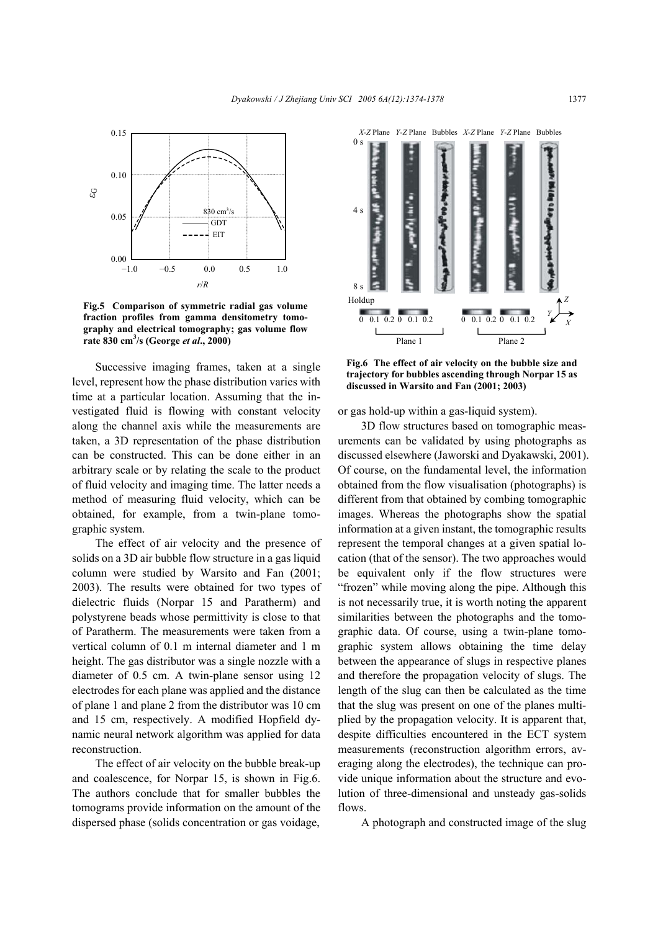

**Fig.5 Comparison of symmetric radial gas volume fraction profiles from gamma densitometry tomography and electrical tomography; gas volume flow rate 830 cm3 /s (George** *et al***., 2000)**

Successive imaging frames, taken at a single level, represent how the phase distribution varies with time at a particular location. Assuming that the investigated fluid is flowing with constant velocity along the channel axis while the measurements are taken, a 3D representation of the phase distribution can be constructed. This can be done either in an arbitrary scale or by relating the scale to the product of fluid velocity and imaging time. The latter needs a method of measuring fluid velocity, which can be obtained, for example, from a twin-plane tomographic system.

The effect of air velocity and the presence of solids on a 3D air bubble flow structure in a gas liquid column were studied by Warsito and Fan (2001; 2003). The results were obtained for two types of dielectric fluids (Norpar 15 and Paratherm) and polystyrene beads whose permittivity is close to that of Paratherm. The measurements were taken from a vertical column of 0.1 m internal diameter and 1 m height. The gas distributor was a single nozzle with a diameter of 0.5 cm. A twin-plane sensor using 12 electrodes for each plane was applied and the distance of plane 1 and plane 2 from the distributor was 10 cm and 15 cm, respectively. A modified Hopfield dynamic neural network algorithm was applied for data reconstruction.

The effect of air velocity on the bubble break-up and coalescence, for Norpar 15, is shown in Fig.6. The authors conclude that for smaller bubbles the tomograms provide information on the amount of the dispersed phase (solids concentration or gas voidage,



**Fig.6 The effect of air velocity on the bubble size and trajectory for bubbles ascending through Norpar 15 as discussed in Warsito and Fan (2001; 2003)** 

or gas hold-up within a gas-liquid system).

3D flow structures based on tomographic measurements can be validated by using photographs as discussed elsewhere (Jaworski and Dyakawski, 2001). Of course, on the fundamental level, the information obtained from the flow visualisation (photographs) is different from that obtained by combing tomographic images. Whereas the photographs show the spatial information at a given instant, the tomographic results represent the temporal changes at a given spatial location (that of the sensor). The two approaches would be equivalent only if the flow structures were "frozen" while moving along the pipe. Although this is not necessarily true, it is worth noting the apparent similarities between the photographs and the tomographic data. Of course, using a twin-plane tomographic system allows obtaining the time delay between the appearance of slugs in respective planes and therefore the propagation velocity of slugs. The length of the slug can then be calculated as the time that the slug was present on one of the planes multiplied by the propagation velocity. It is apparent that, despite difficulties encountered in the ECT system measurements (reconstruction algorithm errors, averaging along the electrodes), the technique can provide unique information about the structure and evolution of three-dimensional and unsteady gas-solids flows.

A photograph and constructed image of the slug